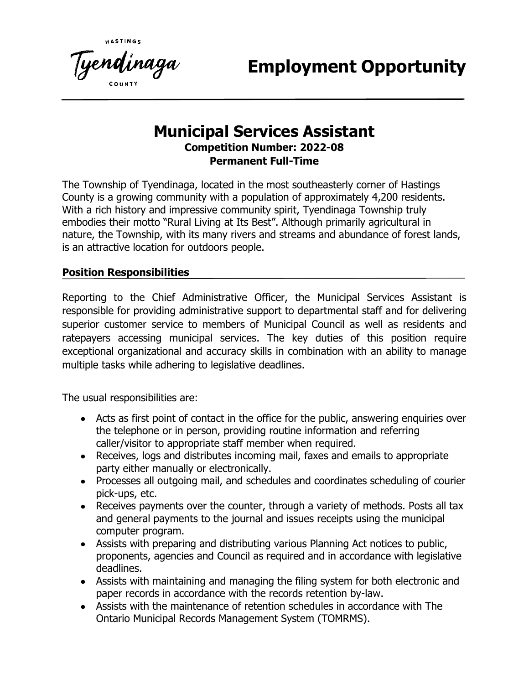**Employment Opportunity**

# **Municipal Services Assistant Competition Number: 2022-08 Permanent Full-Time**

The Township of Tyendinaga, located in the most southeasterly corner of Hastings County is a growing community with a population of approximately 4,200 residents. With a rich history and impressive community spirit, Tyendinaga Township truly embodies their motto "Rural Living at Its Best". Although primarily agricultural in nature, the Township, with its many rivers and streams and abundance of forest lands, is an attractive location for outdoors people.

#### **Position Responsibilities**

Reporting to the Chief Administrative Officer, the Municipal Services Assistant is responsible for providing administrative support to departmental staff and for delivering superior customer service to members of Municipal Council as well as residents and ratepayers accessing municipal services. The key duties of this position require exceptional organizational and accuracy skills in combination with an ability to manage multiple tasks while adhering to legislative deadlines.

The usual responsibilities are:

- Acts as first point of contact in the office for the public, answering enquiries over the telephone or in person, providing routine information and referring caller/visitor to appropriate staff member when required.
- Receives, logs and distributes incoming mail, faxes and emails to appropriate party either manually or electronically.
- Processes all outgoing mail, and schedules and coordinates scheduling of courier pick-ups, etc.
- Receives payments over the counter, through a variety of methods. Posts all tax and general payments to the journal and issues receipts using the municipal computer program.
- Assists with preparing and distributing various Planning Act notices to public, proponents, agencies and Council as required and in accordance with legislative deadlines.
- Assists with maintaining and managing the filing system for both electronic and paper records in accordance with the records retention by-law.
- Assists with the maintenance of retention schedules in accordance with The Ontario Municipal Records Management System (TOMRMS).

Tye**nd**inaga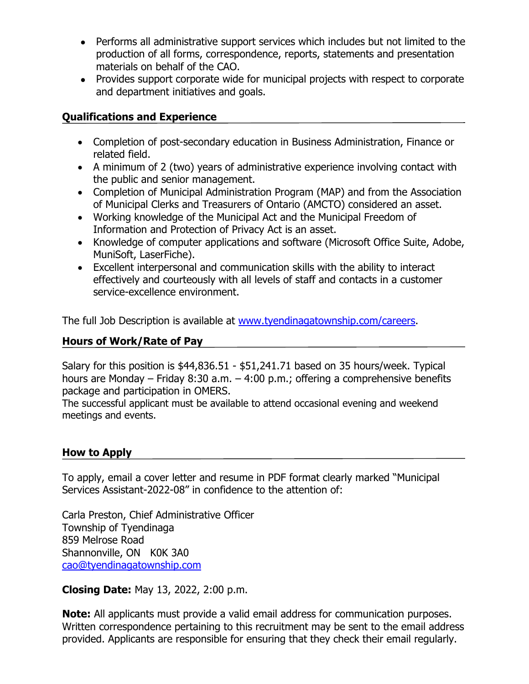- Performs all administrative support services which includes but not limited to the production of all forms, correspondence, reports, statements and presentation materials on behalf of the CAO.
- Provides support corporate wide for municipal projects with respect to corporate and department initiatives and goals.

#### **Qualifications and Experience**

- Completion of post-secondary education in Business Administration, Finance or related field.
- A minimum of 2 (two) years of administrative experience involving contact with the public and senior management.
- Completion of Municipal Administration Program (MAP) and from the Association of Municipal Clerks and Treasurers of Ontario (AMCTO) considered an asset.
- Working knowledge of the Municipal Act and the Municipal Freedom of Information and Protection of Privacy Act is an asset.
- Knowledge of computer applications and software (Microsoft Office Suite, Adobe, MuniSoft, LaserFiche).
- Excellent interpersonal and communication skills with the ability to interact effectively and courteously with all levels of staff and contacts in a customer service-excellence environment.

The full Job Description is available at [www.tyendinagatownship.com/careers.](http://www.tyendinagatownship.com/careers)

## **Hours of Work/Rate of Pay**

Salary for this position is \$44,836.51 - \$51,241.71 based on 35 hours/week. Typical hours are Monday – Friday 8:30 a.m. – 4:00 p.m.; offering a comprehensive benefits package and participation in OMERS.

The successful applicant must be available to attend occasional evening and weekend meetings and events.

## **How to Apply**

To apply, email a cover letter and resume in PDF format clearly marked "Municipal Services Assistant-2022-08" in confidence to the attention of:

Carla Preston, Chief Administrative Officer Township of Tyendinaga 859 Melrose Road Shannonville, ON K0K 3A0 [cao@tyendinagatownship.com](mailto:cao@tyendinagatownship.com)

**Closing Date:** May 13, 2022, 2:00 p.m.

**Note:** All applicants must provide a valid email address for communication purposes. Written correspondence pertaining to this recruitment may be sent to the email address provided. Applicants are responsible for ensuring that they check their email regularly.